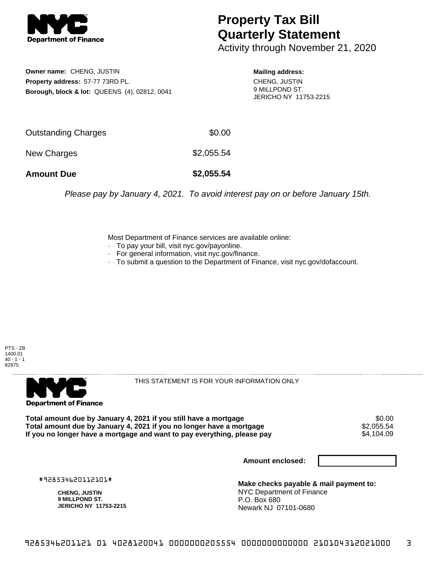

## **Property Tax Bill Quarterly Statement**

Activity through November 21, 2020

**Owner name:** CHENG, JUSTIN **Property address:** 57-77 73RD PL. **Borough, block & lot:** QUEENS (4), 02812, 0041

**Mailing address:** CHENG, JUSTIN 9 MILLPOND ST. JERICHO NY 11753-2215

| <b>Amount Due</b>   | \$2,055.54 |
|---------------------|------------|
| New Charges         | \$2,055.54 |
| Outstanding Charges | \$0.00     |

Please pay by January 4, 2021. To avoid interest pay on or before January 15th.

Most Department of Finance services are available online:

- · To pay your bill, visit nyc.gov/payonline.
- For general information, visit nyc.gov/finance.
- · To submit a question to the Department of Finance, visit nyc.gov/dofaccount.





THIS STATEMENT IS FOR YOUR INFORMATION ONLY

Total amount due by January 4, 2021 if you still have a mortgage \$0.00<br>Total amount due by January 4, 2021 if you no longer have a mortgage \$2.055.54 **Total amount due by January 4, 2021 if you no longer have a mortgage**  $$2,055.54$$ **<br>If you no longer have a mortgage and want to pay everything, please pay** If you no longer have a mortgage and want to pay everything, please pay

**Amount enclosed:**

#928534620112101#

**CHENG, JUSTIN 9 MILLPOND ST. JERICHO NY 11753-2215**

**Make checks payable & mail payment to:** NYC Department of Finance P.O. Box 680 Newark NJ 07101-0680